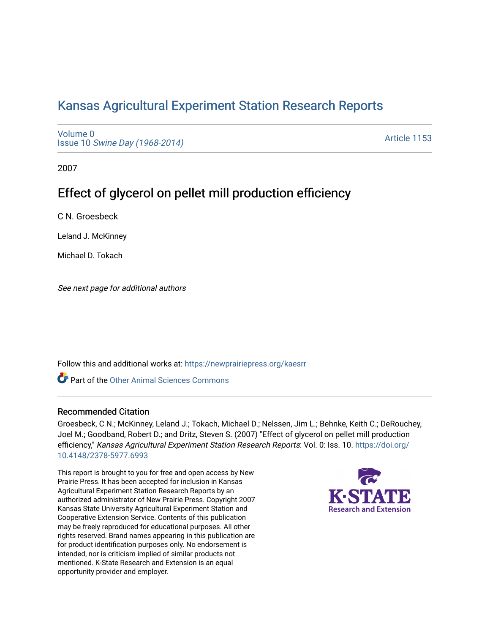## [Kansas Agricultural Experiment Station Research Reports](https://newprairiepress.org/kaesrr)

[Volume 0](https://newprairiepress.org/kaesrr/vol0) Issue 10 [Swine Day \(1968-2014\)](https://newprairiepress.org/kaesrr/vol0/iss10)

[Article 1153](https://newprairiepress.org/kaesrr/vol0/iss10/1153) 

2007

# Effect of glycerol on pellet mill production efficiency

C N. Groesbeck

Leland J. McKinney

Michael D. Tokach

See next page for additional authors

Follow this and additional works at: [https://newprairiepress.org/kaesrr](https://newprairiepress.org/kaesrr?utm_source=newprairiepress.org%2Fkaesrr%2Fvol0%2Fiss10%2F1153&utm_medium=PDF&utm_campaign=PDFCoverPages) 

Part of the [Other Animal Sciences Commons](http://network.bepress.com/hgg/discipline/82?utm_source=newprairiepress.org%2Fkaesrr%2Fvol0%2Fiss10%2F1153&utm_medium=PDF&utm_campaign=PDFCoverPages)

#### Recommended Citation

Groesbeck, C N.; McKinney, Leland J.; Tokach, Michael D.; Nelssen, Jim L.; Behnke, Keith C.; DeRouchey, Joel M.; Goodband, Robert D.; and Dritz, Steven S. (2007) "Effect of glycerol on pellet mill production efficiency," Kansas Agricultural Experiment Station Research Reports: Vol. 0: Iss. 10. [https://doi.org/](https://doi.org/10.4148/2378-5977.6993) [10.4148/2378-5977.6993](https://doi.org/10.4148/2378-5977.6993)

This report is brought to you for free and open access by New Prairie Press. It has been accepted for inclusion in Kansas Agricultural Experiment Station Research Reports by an authorized administrator of New Prairie Press. Copyright 2007 Kansas State University Agricultural Experiment Station and Cooperative Extension Service. Contents of this publication may be freely reproduced for educational purposes. All other rights reserved. Brand names appearing in this publication are for product identification purposes only. No endorsement is intended, nor is criticism implied of similar products not mentioned. K-State Research and Extension is an equal opportunity provider and employer.

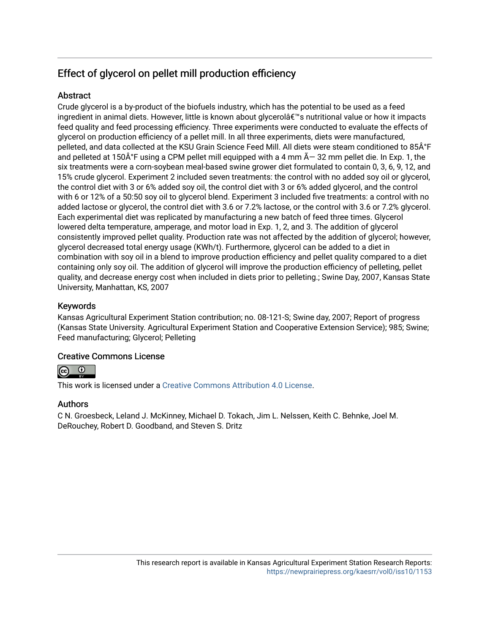## Effect of glycerol on pellet mill production efficiency

## **Abstract**

Crude glycerol is a by-product of the biofuels industry, which has the potential to be used as a feed ingredient in animal diets. However, little is known about glycerol's nutritional value or how it impacts feed quality and feed processing efficiency. Three experiments were conducted to evaluate the effects of glycerol on production efficiency of a pellet mill. In all three experiments, diets were manufactured, pelleted, and data collected at the KSU Grain Science Feed Mill. All diets were steam conditioned to 85°F and pelleted at 150 $\hat{A}^{\circ}F$  using a CPM pellet mill equipped with a 4 mm  $\tilde{A}$  – 32 mm pellet die. In Exp. 1, the six treatments were a corn-soybean meal-based swine grower diet formulated to contain 0, 3, 6, 9, 12, and 15% crude glycerol. Experiment 2 included seven treatments: the control with no added soy oil or glycerol, the control diet with 3 or 6% added soy oil, the control diet with 3 or 6% added glycerol, and the control with 6 or 12% of a 50:50 soy oil to glycerol blend. Experiment 3 included five treatments: a control with no added lactose or glycerol, the control diet with 3.6 or 7.2% lactose, or the control with 3.6 or 7.2% glycerol. Each experimental diet was replicated by manufacturing a new batch of feed three times. Glycerol lowered delta temperature, amperage, and motor load in Exp. 1, 2, and 3. The addition of glycerol consistently improved pellet quality. Production rate was not affected by the addition of glycerol; however, glycerol decreased total energy usage (KWh/t). Furthermore, glycerol can be added to a diet in combination with soy oil in a blend to improve production efficiency and pellet quality compared to a diet containing only soy oil. The addition of glycerol will improve the production efficiency of pelleting, pellet quality, and decrease energy cost when included in diets prior to pelleting.; Swine Day, 2007, Kansas State University, Manhattan, KS, 2007

## Keywords

Kansas Agricultural Experiment Station contribution; no. 08-121-S; Swine day, 2007; Report of progress (Kansas State University. Agricultural Experiment Station and Cooperative Extension Service); 985; Swine; Feed manufacturing; Glycerol; Pelleting

## Creative Commons License



This work is licensed under a [Creative Commons Attribution 4.0 License](https://creativecommons.org/licenses/by/4.0/).

## Authors

C N. Groesbeck, Leland J. McKinney, Michael D. Tokach, Jim L. Nelssen, Keith C. Behnke, Joel M. DeRouchey, Robert D. Goodband, and Steven S. Dritz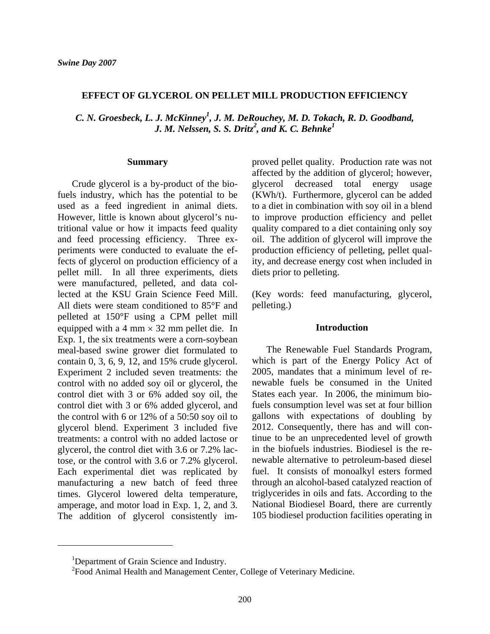#### **EFFECT OF GLYCEROL ON PELLET MILL PRODUCTION EFFICIENCY**

*C. N. Groesbeck, L. J. McKinney<sup>1</sup> , J. M. DeRouchey, M. D. Tokach, R. D. Goodband, J. M. Nelssen, S. S. Dritz<sup>2</sup>, and K. C. Behnke<sup>1</sup>* 

#### **Summary**

Crude glycerol is a by-product of the biofuels industry, which has the potential to be used as a feed ingredient in animal diets. However, little is known about glycerol's nutritional value or how it impacts feed quality and feed processing efficiency. Three experiments were conducted to evaluate the effects of glycerol on production efficiency of a pellet mill. In all three experiments, diets were manufactured, pelleted, and data collected at the KSU Grain Science Feed Mill. All diets were steam conditioned to 85°F and pelleted at 150°F using a CPM pellet mill equipped with a 4 mm  $\times$  32 mm pellet die. In Exp. 1, the six treatments were a corn-soybean meal-based swine grower diet formulated to contain 0, 3, 6, 9, 12, and 15% crude glycerol. Experiment 2 included seven treatments: the control with no added soy oil or glycerol, the control diet with 3 or 6% added soy oil, the control diet with 3 or 6% added glycerol, and the control with 6 or 12% of a 50:50 soy oil to glycerol blend. Experiment 3 included five treatments: a control with no added lactose or glycerol, the control diet with 3.6 or 7.2% lactose, or the control with 3.6 or 7.2% glycerol. Each experimental diet was replicated by manufacturing a new batch of feed three times. Glycerol lowered delta temperature, amperage, and motor load in Exp. 1, 2, and 3. The addition of glycerol consistently improved pellet quality. Production rate was not affected by the addition of glycerol; however, glycerol decreased total energy usage (KWh/t). Furthermore, glycerol can be added to a diet in combination with soy oil in a blend to improve production efficiency and pellet quality compared to a diet containing only soy oil. The addition of glycerol will improve the production efficiency of pelleting, pellet quality, and decrease energy cost when included in diets prior to pelleting.

(Key words: feed manufacturing, glycerol, pelleting.)

#### **Introduction**

The Renewable Fuel Standards Program, which is part of the Energy Policy Act of 2005, mandates that a minimum level of renewable fuels be consumed in the United States each year. In 2006, the minimum biofuels consumption level was set at four billion gallons with expectations of doubling by 2012. Consequently, there has and will continue to be an unprecedented level of growth in the biofuels industries. Biodiesel is the renewable alternative to petroleum-based diesel fuel. It consists of monoalkyl esters formed through an alcohol-based catalyzed reaction of triglycerides in oils and fats. According to the National Biodiesel Board, there are currently 105 biodiesel production facilities operating in

<sup>&</sup>lt;sup>1</sup>Department of Grain Science and Industry.

<sup>&</sup>lt;sup>2</sup> Food Animal Health and Management Center, College of Veterinary Medicine.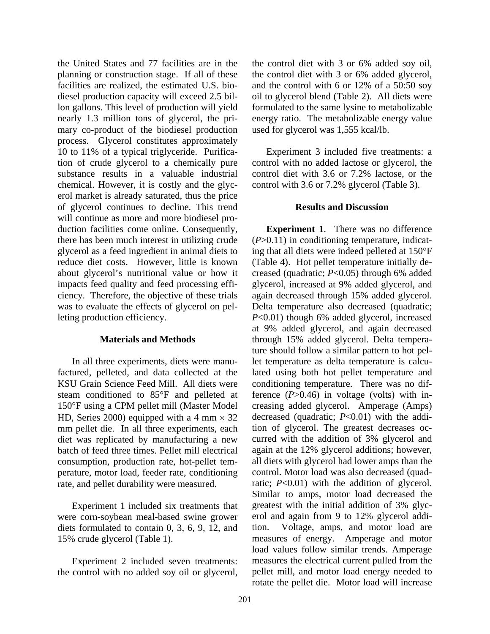the United States and 77 facilities are in the planning or construction stage. If all of these facilities are realized, the estimated U.S. biodiesel production capacity will exceed 2.5 billon gallons. This level of production will yield nearly 1.3 million tons of glycerol, the primary co-product of the biodiesel production process. Glycerol constitutes approximately 10 to 11% of a typical triglyceride. Purification of crude glycerol to a chemically pure substance results in a valuable industrial chemical. However, it is costly and the glycerol market is already saturated, thus the price of glycerol continues to decline. This trend will continue as more and more biodiesel production facilities come online. Consequently, there has been much interest in utilizing crude glycerol as a feed ingredient in animal diets to reduce diet costs. However, little is known about glycerol's nutritional value or how it impacts feed quality and feed processing efficiency. Therefore, the objective of these trials was to evaluate the effects of glycerol on pelleting production efficiency.

#### **Materials and Methods**

In all three experiments, diets were manufactured, pelleted, and data collected at the KSU Grain Science Feed Mill. All diets were steam conditioned to 85°F and pelleted at 150°F using a CPM pellet mill (Master Model HD, Series 2000) equipped with a 4 mm  $\times$  32 mm pellet die. In all three experiments, each diet was replicated by manufacturing a new batch of feed three times. Pellet mill electrical consumption, production rate, hot-pellet temperature, motor load, feeder rate, conditioning rate, and pellet durability were measured.

Experiment 1 included six treatments that were corn-soybean meal-based swine grower diets formulated to contain 0, 3, 6, 9, 12, and 15% crude glycerol (Table 1).

Experiment 2 included seven treatments: the control with no added soy oil or glycerol, the control diet with 3 or 6% added soy oil, the control diet with 3 or 6% added glycerol, and the control with 6 or 12% of a 50:50 soy oil to glycerol blend (Table 2). All diets were formulated to the same lysine to metabolizable energy ratio. The metabolizable energy value used for glycerol was 1,555 kcal/lb.

Experiment 3 included five treatments: a control with no added lactose or glycerol, the control diet with 3.6 or 7.2% lactose, or the control with 3.6 or 7.2% glycerol (Table 3).

#### **Results and Discussion**

**Experiment 1**. There was no difference (*P*>0.11) in conditioning temperature, indicating that all diets were indeed pelleted at 150°F (Table 4). Hot pellet temperature initially decreased (quadratic; *P*<0.05) through 6% added glycerol, increased at 9% added glycerol, and again decreased through 15% added glycerol. Delta temperature also decreased (quadratic; *P*<0.01) though 6% added glycerol, increased at 9% added glycerol, and again decreased through 15% added glycerol. Delta temperature should follow a similar pattern to hot pellet temperature as delta temperature is calculated using both hot pellet temperature and conditioning temperature. There was no difference (*P*>0.46) in voltage (volts) with increasing added glycerol. Amperage (Amps) decreased (quadratic; *P*<0.01) with the addition of glycerol. The greatest decreases occurred with the addition of 3% glycerol and again at the 12% glycerol additions; however, all diets with glycerol had lower amps than the control. Motor load was also decreased (quadratic;  $P<0.01$ ) with the addition of glycerol. Similar to amps, motor load decreased the greatest with the initial addition of 3% glycerol and again from 9 to 12% glycerol addition. Voltage, amps, and motor load are measures of energy. Amperage and motor load values follow similar trends. Amperage measures the electrical current pulled from the pellet mill, and motor load energy needed to rotate the pellet die. Motor load will increase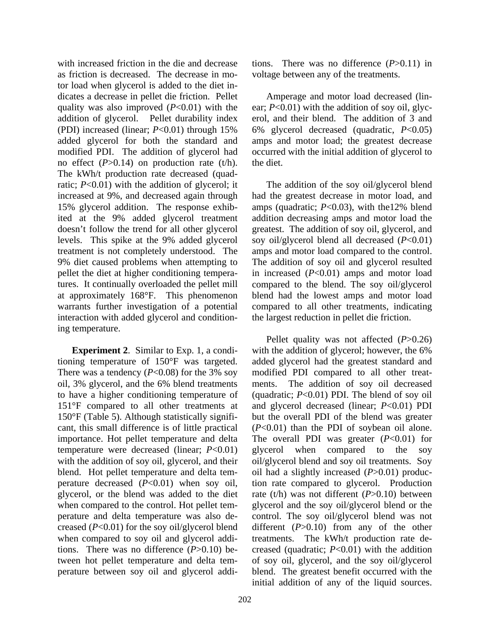with increased friction in the die and decrease as friction is decreased. The decrease in motor load when glycerol is added to the diet indicates a decrease in pellet die friction. Pellet quality was also improved (*P*<0.01) with the addition of glycerol. Pellet durability index (PDI) increased (linear; *P*<0.01) through 15% added glycerol for both the standard and modified PDI. The addition of glycerol had no effect (*P*>0.14) on production rate (t/h). The kWh/t production rate decreased (quadratic; *P*<0.01) with the addition of glycerol; it increased at 9%, and decreased again through 15% glycerol addition. The response exhibited at the 9% added glycerol treatment doesn't follow the trend for all other glycerol levels. This spike at the 9% added glycerol treatment is not completely understood. The 9% diet caused problems when attempting to pellet the diet at higher conditioning temperatures. It continually overloaded the pellet mill at approximately 168°F. This phenomenon warrants further investigation of a potential interaction with added glycerol and conditioning temperature.

**Experiment 2**. Similar to Exp. 1, a conditioning temperature of 150°F was targeted. There was a tendency  $(P<0.08)$  for the 3% soy oil, 3% glycerol, and the 6% blend treatments to have a higher conditioning temperature of 151°F compared to all other treatments at 150°F (Table 5). Although statistically significant, this small difference is of little practical importance. Hot pellet temperature and delta temperature were decreased (linear; *P*<0.01) with the addition of soy oil, glycerol, and their blend. Hot pellet temperature and delta temperature decreased (*P*<0.01) when soy oil, glycerol, or the blend was added to the diet when compared to the control. Hot pellet temperature and delta temperature was also decreased (*P*<0.01) for the soy oil/glycerol blend when compared to soy oil and glycerol additions. There was no difference (*P*>0.10) between hot pellet temperature and delta temperature between soy oil and glycerol additions. There was no difference (*P*>0.11) in voltage between any of the treatments.

Amperage and motor load decreased (linear;  $P<0.01$ ) with the addition of soy oil, glycerol, and their blend. The addition of 3 and 6% glycerol decreased (quadratic, *P*<0.05) amps and motor load; the greatest decrease occurred with the initial addition of glycerol to the diet.

The addition of the soy oil/glycerol blend had the greatest decrease in motor load, and amps (quadratic; *P*<0.03), with the12% blend addition decreasing amps and motor load the greatest. The addition of soy oil, glycerol, and soy oil/glycerol blend all decreased (*P*<0.01) amps and motor load compared to the control. The addition of soy oil and glycerol resulted in increased (*P*<0.01) amps and motor load compared to the blend. The soy oil/glycerol blend had the lowest amps and motor load compared to all other treatments, indicating the largest reduction in pellet die friction.

Pellet quality was not affected (*P*>0.26) with the addition of glycerol; however, the 6% added glycerol had the greatest standard and modified PDI compared to all other treatments. The addition of soy oil decreased (quadratic; *P*<0.01) PDI. The blend of soy oil and glycerol decreased (linear; *P*<0.01) PDI but the overall PDI of the blend was greater (*P*<0.01) than the PDI of soybean oil alone. The overall PDI was greater ( $P<0.01$ ) for glycerol when compared to the soy oil/glycerol blend and soy oil treatments. Soy oil had a slightly increased (*P*>0.01) production rate compared to glycerol. Production rate (t/h) was not different (*P*>0.10) between glycerol and the soy oil/glycerol blend or the control. The soy oil/glycerol blend was not different (*P*>0.10) from any of the other treatments. The kWh/t production rate decreased (quadratic; *P*<0.01) with the addition of soy oil, glycerol, and the soy oil/glycerol blend. The greatest benefit occurred with the initial addition of any of the liquid sources.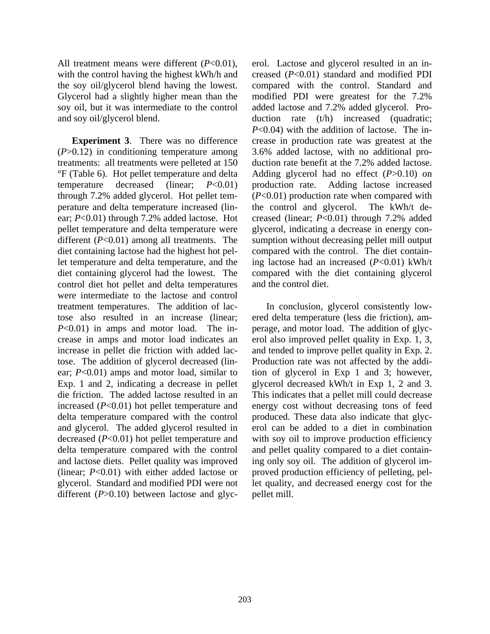All treatment means were different (*P*<0.01), with the control having the highest kWh/h and the soy oil/glycerol blend having the lowest. Glycerol had a slightly higher mean than the soy oil, but it was intermediate to the control and soy oil/glycerol blend.

**Experiment 3**. There was no difference (*P*>0.12) in conditioning temperature among treatments: all treatments were pelleted at 150 °F (Table 6). Hot pellet temperature and delta temperature decreased (linear; *P*<0.01) through 7.2% added glycerol. Hot pellet temperature and delta temperature increased (linear; *P*<0.01) through 7.2% added lactose. Hot pellet temperature and delta temperature were different (*P*<0.01) among all treatments. The diet containing lactose had the highest hot pellet temperature and delta temperature, and the diet containing glycerol had the lowest. The control diet hot pellet and delta temperatures were intermediate to the lactose and control treatment temperatures. The addition of lactose also resulted in an increase (linear; *P*<0.01) in amps and motor load. The increase in amps and motor load indicates an increase in pellet die friction with added lactose. The addition of glycerol decreased (linear; *P*<0.01) amps and motor load, similar to Exp. 1 and 2, indicating a decrease in pellet die friction. The added lactose resulted in an increased (*P*<0.01) hot pellet temperature and delta temperature compared with the control and glycerol. The added glycerol resulted in decreased (*P*<0.01) hot pellet temperature and delta temperature compared with the control and lactose diets. Pellet quality was improved (linear; *P*<0.01) with either added lactose or glycerol. Standard and modified PDI were not different (*P*>0.10) between lactose and glycerol. Lactose and glycerol resulted in an increased (*P*<0.01) standard and modified PDI compared with the control. Standard and modified PDI were greatest for the 7.2% added lactose and 7.2% added glycerol. Production rate (t/h) increased (quadratic; *P*<0.04) with the addition of lactose. The increase in production rate was greatest at the 3.6% added lactose, with no additional production rate benefit at the 7.2% added lactose. Adding glycerol had no effect (*P*>0.10) on production rate. Adding lactose increased (*P*<0.01) production rate when compared with the control and glycerol. The kWh/t decreased (linear; *P*<0.01) through 7.2% added glycerol, indicating a decrease in energy consumption without decreasing pellet mill output compared with the control. The diet containing lactose had an increased (*P*<0.01) kWh/t compared with the diet containing glycerol and the control diet.

In conclusion, glycerol consistently lowered delta temperature (less die friction), amperage, and motor load. The addition of glycerol also improved pellet quality in Exp. 1, 3, and tended to improve pellet quality in Exp. 2. Production rate was not affected by the addition of glycerol in Exp 1 and 3; however, glycerol decreased kWh/t in Exp 1, 2 and 3. This indicates that a pellet mill could decrease energy cost without decreasing tons of feed produced. These data also indicate that glycerol can be added to a diet in combination with soy oil to improve production efficiency and pellet quality compared to a diet containing only soy oil. The addition of glycerol improved production efficiency of pelleting, pellet quality, and decreased energy cost for the pellet mill.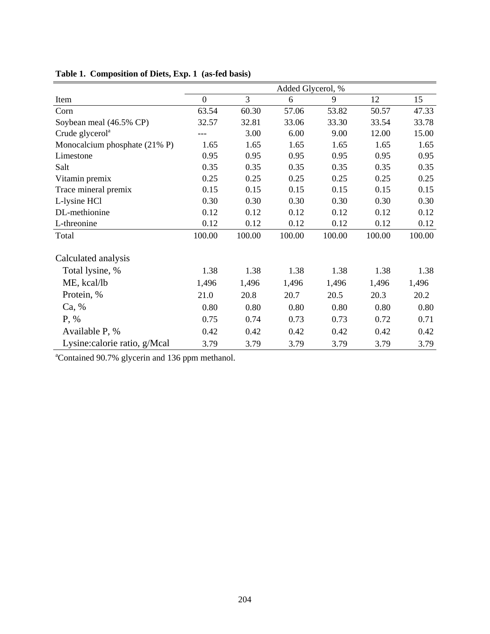|                               | Added Glycerol, % |                |        |        |        |        |  |  |
|-------------------------------|-------------------|----------------|--------|--------|--------|--------|--|--|
| Item                          | $\overline{0}$    | $\overline{3}$ | 6      | 9      | 12     | 15     |  |  |
| Corn                          | 63.54             | 60.30          | 57.06  | 53.82  | 50.57  | 47.33  |  |  |
| Soybean meal (46.5% CP)       | 32.57             | 32.81          | 33.06  | 33.30  | 33.54  | 33.78  |  |  |
| Crude glycerol <sup>a</sup>   |                   | 3.00           | 6.00   | 9.00   | 12.00  | 15.00  |  |  |
| Monocalcium phosphate (21% P) | 1.65              | 1.65           | 1.65   | 1.65   | 1.65   | 1.65   |  |  |
| Limestone                     | 0.95              | 0.95           | 0.95   | 0.95   | 0.95   | 0.95   |  |  |
| Salt                          | 0.35              | 0.35           | 0.35   | 0.35   | 0.35   | 0.35   |  |  |
| Vitamin premix                | 0.25              | 0.25           | 0.25   | 0.25   | 0.25   | 0.25   |  |  |
| Trace mineral premix          | 0.15              | 0.15           | 0.15   | 0.15   | 0.15   | 0.15   |  |  |
| L-lysine HCl                  | 0.30              | 0.30           | 0.30   | 0.30   | 0.30   | 0.30   |  |  |
| DL-methionine                 | 0.12              | 0.12           | 0.12   | 0.12   | 0.12   | 0.12   |  |  |
| L-threonine                   | 0.12              | 0.12           | 0.12   | 0.12   | 0.12   | 0.12   |  |  |
| Total                         | 100.00            | 100.00         | 100.00 | 100.00 | 100.00 | 100.00 |  |  |
| Calculated analysis           |                   |                |        |        |        |        |  |  |
| Total lysine, %               | 1.38              | 1.38           | 1.38   | 1.38   | 1.38   | 1.38   |  |  |
| ME, kcal/lb                   | 1,496             | 1,496          | 1,496  | 1,496  | 1,496  | 1,496  |  |  |
| Protein, %                    | 21.0              | 20.8           | 20.7   | 20.5   | 20.3   | 20.2   |  |  |
| Ca, %                         | 0.80              | 0.80           | 0.80   | 0.80   | 0.80   | 0.80   |  |  |
| $P, \%$                       | 0.75              | 0.74           | 0.73   | 0.73   | 0.72   | 0.71   |  |  |
| Available P, %                | 0.42              | 0.42           | 0.42   | 0.42   | 0.42   | 0.42   |  |  |
| Lysine:calorie ratio, g/Mcal  | 3.79              | 3.79           | 3.79   | 3.79   | 3.79   | 3.79   |  |  |

**Table 1. Composition of Diets, Exp. 1 (as-fed basis)**

a Contained 90.7% glycerin and 136 ppm methanol.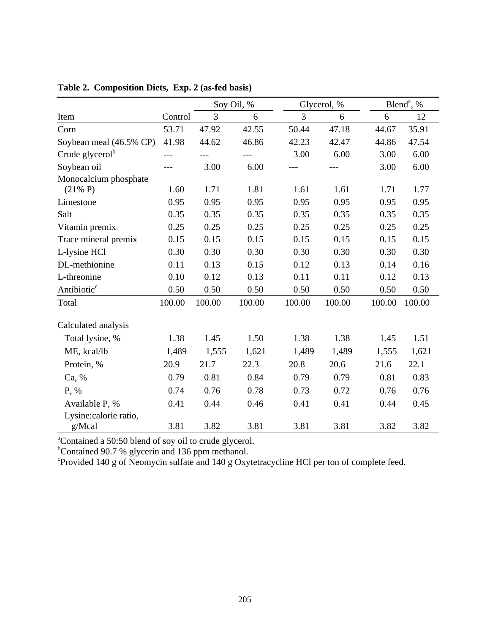|                             |         | Soy Oil, % |        |        | Glycerol, % | Blend <sup>a</sup> , % |        |  |
|-----------------------------|---------|------------|--------|--------|-------------|------------------------|--------|--|
| Item                        | Control | 3          | 6      | 3      | 6           | 6                      | 12     |  |
| Corn                        | 53.71   | 47.92      | 42.55  | 50.44  | 47.18       | 44.67                  | 35.91  |  |
| Soybean meal (46.5% CP)     | 41.98   | 44.62      | 46.86  | 42.23  | 42.47       | 44.86                  | 47.54  |  |
| Crude glycerol <sup>b</sup> | ---     | $---$      | $---$  | 3.00   | 6.00        | 3.00                   | 6.00   |  |
| Soybean oil                 |         | 3.00       | 6.00   |        | $---$       | 3.00                   | 6.00   |  |
| Monocalcium phosphate       |         |            |        |        |             |                        |        |  |
| $(21\% P)$                  | 1.60    | 1.71       | 1.81   | 1.61   | 1.61        | 1.71                   | 1.77   |  |
| Limestone                   | 0.95    | 0.95       | 0.95   | 0.95   | 0.95        | 0.95                   | 0.95   |  |
| Salt                        | 0.35    | 0.35       | 0.35   | 0.35   | 0.35        | 0.35                   | 0.35   |  |
| Vitamin premix              | 0.25    | 0.25       | 0.25   | 0.25   | 0.25        | 0.25                   | 0.25   |  |
| Trace mineral premix        | 0.15    | 0.15       | 0.15   | 0.15   | 0.15        | 0.15                   | 0.15   |  |
| L-lysine HCl                | 0.30    | 0.30       | 0.30   | 0.30   | 0.30        | 0.30                   | 0.30   |  |
| DL-methionine               | 0.11    | 0.13       | 0.15   | 0.12   | 0.13        | 0.14                   | 0.16   |  |
| L-threonine                 | 0.10    | 0.12       | 0.13   | 0.11   | 0.11        | 0.12                   | 0.13   |  |
| Antibiotic <sup>c</sup>     | 0.50    | 0.50       | 0.50   | 0.50   | 0.50        | 0.50                   | 0.50   |  |
| Total                       | 100.00  | 100.00     | 100.00 | 100.00 | 100.00      | 100.00                 | 100.00 |  |
| Calculated analysis         |         |            |        |        |             |                        |        |  |
| Total lysine, %             | 1.38    | 1.45       | 1.50   | 1.38   | 1.38        | 1.45                   | 1.51   |  |
| ME, kcal/lb                 | 1,489   | 1,555      | 1,621  | 1,489  | 1,489       | 1,555                  | 1,621  |  |
| Protein, %                  | 20.9    | 21.7       | 22.3   | 20.8   | 20.6        | 21.6                   | 22.1   |  |
| Ca, %                       | 0.79    | 0.81       | 0.84   | 0.79   | 0.79        | 0.81                   | 0.83   |  |
| P, %                        | 0.74    | 0.76       | 0.78   | 0.73   | 0.72        | 0.76                   | 0.76   |  |
| Available P, %              | 0.41    | 0.44       | 0.46   | 0.41   | 0.41        | 0.44                   | 0.45   |  |
| Lysine:calorie ratio,       |         |            |        |        |             |                        |        |  |
| g/Mcal                      | 3.81    | 3.82       | 3.81   | 3.81   | 3.81        | 3.82                   | 3.82   |  |

### **Table 2. Composition Diets, Exp. 2 (as-fed basis)**

<sup>a</sup>Contained a 50:50 blend of soy oil to crude glycerol.<br><sup>b</sup>Contained 90.7 % glycerin and 136 ppm methanol.

c Provided 140 g of Neomycin sulfate and 140 g Oxytetracycline HCl per ton of complete feed.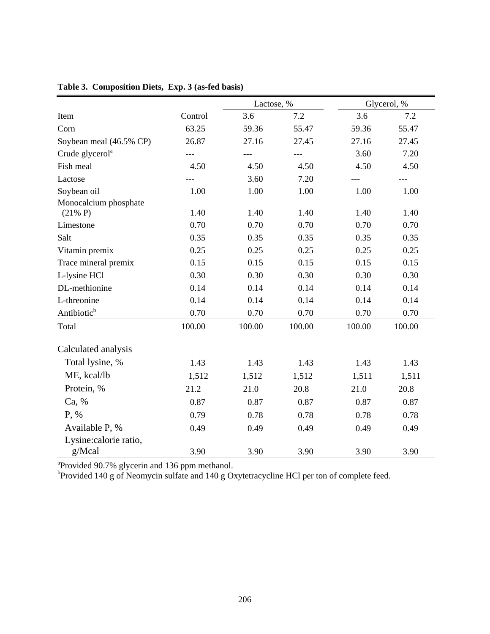|                             |         | Lactose, % |        | Glycerol, % |        |  |  |
|-----------------------------|---------|------------|--------|-------------|--------|--|--|
| Item                        | Control | 3.6        | 7.2    | 3.6         | 7.2    |  |  |
| Corn                        | 63.25   | 59.36      | 55.47  | 59.36       | 55.47  |  |  |
| Soybean meal (46.5% CP)     | 26.87   | 27.16      | 27.45  | 27.16       | 27.45  |  |  |
| Crude glycerol <sup>a</sup> | ---     | $---$      | ---    | 3.60        | 7.20   |  |  |
| Fish meal                   | 4.50    | 4.50       | 4.50   | 4.50        | 4.50   |  |  |
| Lactose                     |         | 3.60       | 7.20   | $---$       |        |  |  |
| Soybean oil                 | 1.00    | 1.00       | 1.00   | 1.00        | 1.00   |  |  |
| Monocalcium phosphate       |         |            |        |             |        |  |  |
| $(21\% P)$                  | 1.40    | 1.40       | 1.40   | 1.40        | 1.40   |  |  |
| Limestone                   | 0.70    | 0.70       | 0.70   | 0.70        | 0.70   |  |  |
| Salt                        | 0.35    | 0.35       | 0.35   | 0.35        | 0.35   |  |  |
| Vitamin premix              | 0.25    | 0.25       | 0.25   | 0.25        | 0.25   |  |  |
| Trace mineral premix        | 0.15    | 0.15       | 0.15   | 0.15        | 0.15   |  |  |
| L-lysine HCl                | 0.30    | 0.30       | 0.30   | 0.30        | 0.30   |  |  |
| DL-methionine               | 0.14    | 0.14       | 0.14   | 0.14        | 0.14   |  |  |
| L-threonine                 | 0.14    | 0.14       | 0.14   | 0.14        | 0.14   |  |  |
| Antibiotic <sup>b</sup>     | 0.70    | 0.70       | 0.70   | 0.70        | 0.70   |  |  |
| Total                       | 100.00  | 100.00     | 100.00 | 100.00      | 100.00 |  |  |
| Calculated analysis         |         |            |        |             |        |  |  |
| Total lysine, %             | 1.43    | 1.43       | 1.43   | 1.43        | 1.43   |  |  |
| ME, kcal/lb                 | 1,512   | 1,512      | 1,512  | 1,511       | 1,511  |  |  |
| Protein, %                  | 21.2    | 21.0       | 20.8   | 21.0        | 20.8   |  |  |
| Ca, %                       | 0.87    | 0.87       | 0.87   | 0.87        | 0.87   |  |  |
| P, %                        | 0.79    | 0.78       | 0.78   | 0.78        | 0.78   |  |  |
| Available P, %              | 0.49    | 0.49       | 0.49   | 0.49        | 0.49   |  |  |
| Lysine:calorie ratio,       |         |            |        |             |        |  |  |
| g/Mcal                      | 3.90    | 3.90       | 3.90   | 3.90        | 3.90   |  |  |

## **Table 3. Composition Diets, Exp. 3 (as-fed basis)**

<sup>a</sup> Provided 90.7% glycerin and 136 ppm methanol.<br><sup>b</sup> Provided 140 g of Neomycin sulfate and 140 g Oxytetracycline HCl per ton of complete feed.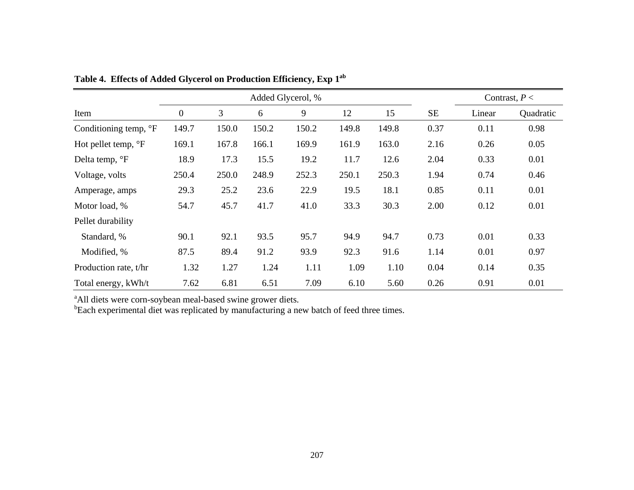|                                | Added Glycerol, % |       |       |       |       |       |           |        | Contrast, $P <$ |
|--------------------------------|-------------------|-------|-------|-------|-------|-------|-----------|--------|-----------------|
| Item                           | $\boldsymbol{0}$  | 3     | 6     | 9     | 12    | 15    | <b>SE</b> | Linear | Quadratic       |
| Conditioning temp, °F          | 149.7             | 150.0 | 150.2 | 150.2 | 149.8 | 149.8 | 0.37      | 0.11   | 0.98            |
| Hot pellet temp, $\mathrm{P}F$ | 169.1             | 167.8 | 166.1 | 169.9 | 161.9 | 163.0 | 2.16      | 0.26   | 0.05            |
| Delta temp, °F                 | 18.9              | 17.3  | 15.5  | 19.2  | 11.7  | 12.6  | 2.04      | 0.33   | 0.01            |
| Voltage, volts                 | 250.4             | 250.0 | 248.9 | 252.3 | 250.1 | 250.3 | 1.94      | 0.74   | 0.46            |
| Amperage, amps                 | 29.3              | 25.2  | 23.6  | 22.9  | 19.5  | 18.1  | 0.85      | 0.11   | 0.01            |
| Motor load, %                  | 54.7              | 45.7  | 41.7  | 41.0  | 33.3  | 30.3  | 2.00      | 0.12   | 0.01            |
| Pellet durability              |                   |       |       |       |       |       |           |        |                 |
| Standard, %                    | 90.1              | 92.1  | 93.5  | 95.7  | 94.9  | 94.7  | 0.73      | 0.01   | 0.33            |
| Modified, %                    | 87.5              | 89.4  | 91.2  | 93.9  | 92.3  | 91.6  | 1.14      | 0.01   | 0.97            |
| Production rate, t/hr          | 1.32              | 1.27  | 1.24  | 1.11  | 1.09  | 1.10  | 0.04      | 0.14   | 0.35            |
| Total energy, kWh/t            | 7.62              | 6.81  | 6.51  | 7.09  | 6.10  | 5.60  | 0.26      | 0.91   | 0.01            |

**Table 4. Effects of Added Glycerol on Production Efficiency, Exp 1a<sup>b</sup>**

<sup>a</sup>All diets were corn-soybean meal-based swine grower diets.

<sup>b</sup>Each experimental diet was replicated by manufacturing a new batch of feed three times.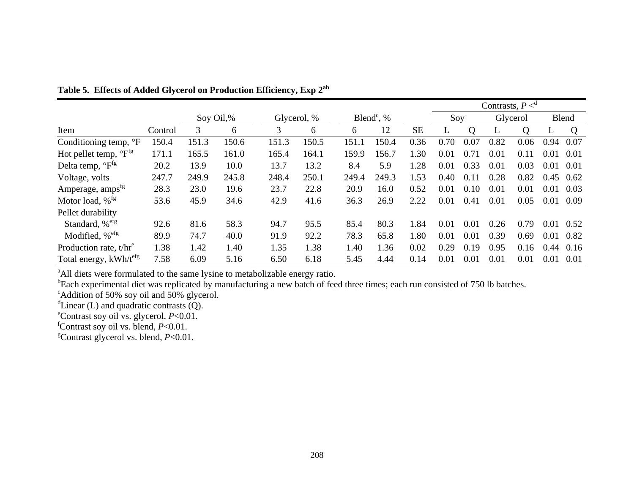|                                     |         |       |           |       |             |                          |       |           | Contrasts, $P \leq^d$ |          |          |      |       |      |
|-------------------------------------|---------|-------|-----------|-------|-------------|--------------------------|-------|-----------|-----------------------|----------|----------|------|-------|------|
|                                     |         |       | Soy Oil,% |       | Glycerol, % | Blend <sup>c</sup> , $%$ |       |           | Soy                   |          | Glycerol |      | Blend |      |
| Item                                | Control | 3     | 6         | 3     | 6           | 6                        | 12    | <b>SE</b> |                       | $\Omega$ |          | Q    | ┶     | Q    |
| Conditioning temp, °F               | 150.4   | 151.3 | 150.6     | 151.3 | 150.5       | 151.1                    | 150.4 | 0.36      | 0.70                  | 0.07     | 0.82     | 0.06 | 0.94  | 0.07 |
| Hot pellet temp, ${}^{\circ}F^{fg}$ | 171.1   | 165.5 | 161.0     | 165.4 | 164.1       | 159.9                    | 156.7 | 1.30      | 0.01                  | 0.71     | 0.01     | 0.11 | 0.01  | 0.01 |
| Delta temp, ${}^{\circ}F^{fg}$      | 20.2    | 13.9  | 10.0      | 13.7  | 13.2        | 8.4                      | 5.9   | 1.28      | 0.01                  | 0.33     | 0.01     | 0.03 | 0.01  | 0.01 |
| Voltage, volts                      | 247.7   | 249.9 | 245.8     | 248.4 | 250.1       | 249.4                    | 249.3 | 1.53      | 0.40                  | 0.11     | 0.28     | 0.82 | 0.45  | 0.62 |
| Amperage, amps <sup>fg</sup>        | 28.3    | 23.0  | 19.6      | 23.7  | 22.8        | 20.9                     | 16.0  | 0.52      | 0.01                  | 0.10     | 0.01     | 0.01 | 0.01  | 0.03 |
| Motor load, $\%$ <sup>fg</sup>      | 53.6    | 45.9  | 34.6      | 42.9  | 41.6        | 36.3                     | 26.9  | 2.22      | 0.01                  | 0.41     | 0.01     | 0.05 | 0.01  | 0.09 |
| Pellet durability                   |         |       |           |       |             |                          |       |           |                       |          |          |      |       |      |
| Standard, % <sup>efg</sup>          | 92.6    | 81.6  | 58.3      | 94.7  | 95.5        | 85.4                     | 80.3  | 1.84      | 0.01                  | 0.01     | 0.26     | 0.79 | 0.01  | 0.52 |
| Modified, % <sup>efg</sup>          | 89.9    | 74.7  | 40.0      | 91.9  | 92.2        | 78.3                     | 65.8  | 1.80      | 0.01                  | 0.01     | 0.39     | 0.69 | 0.01  | 0.82 |
| Production rate, $t/hr^e$           | 1.38    | 1.42  | 1.40      | 1.35  | 1.38        | 1.40                     | 1.36  | 0.02      | 0.29                  | 0.19     | 0.95     | 0.16 | 0.44  | 0.16 |
| Total energy, kWh/t <sup>efg</sup>  | 7.58    | 6.09  | 5.16      | 6.50  | 6.18        | 5.45                     | 4.44  | 0.14      | 0.01                  | 0.01     | 0.01     | 0.01 | 0.01  | 0.01 |

**Table 5. Effects of Added Glycerol on Production Efficiency, Exp 2a<sup>b</sup>**

<sup>a</sup>All diets were formulated to the same lysine to metabolizable energy ratio.

<sup>b</sup>Each experimental diet was replicated by manufacturing a new batch of feed three times; each run consisted of 750 lb batches.

 $c$ Addition of 50% soy oil and 50% glycerol.

 $d$ Linear (L) and quadratic contrasts (Q).

<sup>e</sup>Contrast soy oil vs. glycerol,  $P<0.01$ .

 $\overrightarrow{P}$  Contrast soy oil vs. blend,  $P < 0.01$ .

<sup>2</sup> Contrast soy oil vs. blend, *P<*0.01.<br><sup>8</sup> Contrast glycerol vs. blend, *P<*0.01.